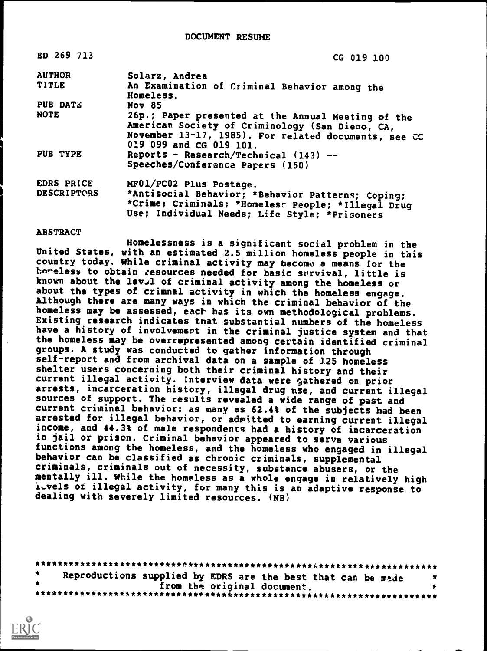| ED 269 713         | CG 019 100                                                                                                                                                                               |
|--------------------|------------------------------------------------------------------------------------------------------------------------------------------------------------------------------------------|
| <b>AUTHOR</b>      | Solarz, Andrea                                                                                                                                                                           |
| <b>TITLE</b>       | An Examination of Criminal Behavior among the<br>Homeless.                                                                                                                               |
| <b>PUB DATZ</b>    | <b>Nov 85</b>                                                                                                                                                                            |
| <b>NOTE</b>        | 26p.; Paper presented at the Annual Meeting of the<br>American Society of Criminology (San Diego, CA,<br>November 13-17, 1985). For related documents, see CC<br>019 099 and CG 019 101. |
| PUB TYPE           | Reports - Research/Technical $(143)$ --<br>Speeches/Conferanca Papers (150)                                                                                                              |
| EDRS PRICE         | MF01/PC02 Plus Postage.                                                                                                                                                                  |
| <b>DESCRIPTORS</b> | *Antisocial Behavior; *Behavior Patterns; Coping;<br>*Crime; Criminals; *Homeless People; *Illegal Drug<br>Use; Individual Needs; Life Style; *Prisoners                                 |

#### ABSTRACT

Homelessness is a significant social problem in the United States, with an estimated 2.5 million homeless people in this country today. While criminal activity may become a means for the horeless to obtain resources needed for basic survival, little is known about the lev.1 of criminal activity among the homeless or about the types of crimnal activity in which the homeless engage. Although there are many ways in which the criminal behavior of the homeless may be assessed, each has its own methodological problems. Existing research indicates tnat substantial numbers of the homeless have a history of involvement in the criminal justice system and that the homeless may be overrepresented among certain identified criminal groups. A study was conducted to gather information through self-report and from archival data on a sample of 125 homeless shelter users concerning both their criminal history and their current illegal activity. Interview data were gathered on prior arrests, incarceration history, illegal drug use, and current illegal sources of support. The results revealed a wide range of past and current criminal behavior: as many as 62.4% of the subjects had been arrested for illegal behavior, or admitted to earning current illegal income, and 44.3% of male respondents had a history of incarceration in jail or prison. Criminal behavior appeared to serve various functions among the homeless, and the homeless who engaged in illegal behavior can be classified as chronic criminals, supplemental criminals, criminals out of necessity, substance abusers, or the mentally ill. While the homeless as a whole engage in relatively high 1..vels of illegal activity, for many this is an adaptive response to dealing with severely limited resources. (NB)

| Reproductions supplied by EDRS are the best that can be made |  |                             |  |  |
|--------------------------------------------------------------|--|-----------------------------|--|--|
|                                                              |  | from the original document. |  |  |
|                                                              |  |                             |  |  |

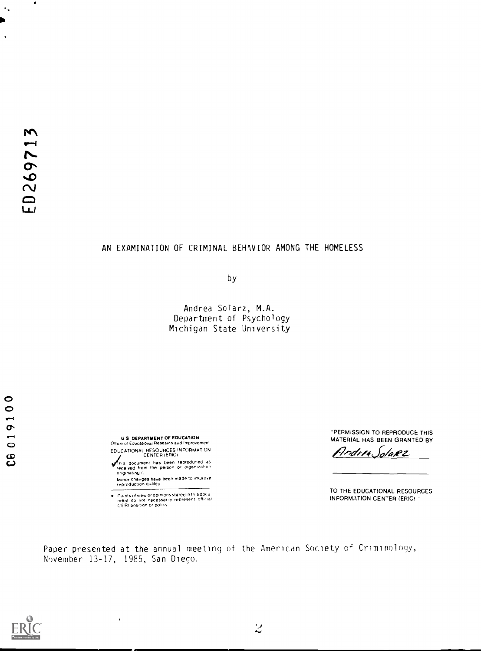$\bullet$ 

 $\ddot{\phantom{a}}$  ,

**O** 

C6 019100

# AN EXAMINATION OF CRIMINAL BEHAVIOR AMONG THE HOMELESS

by

Andrea Solarz, M.A. Department of Psychology Michigan State University

U S. DEPARTMENT OF EDUCATION Office of Educational Research and Improvement<br>EDUCATIONAL RESOURCES INFORMATION<br>CENTER (ERIC)

**CJ see the substitute of the substitute of the person or organization**<br>The received from the person or organization<br>originating it Minor changes have been made to improve.<br>reproduction quality

Points of view or opinions stated in this docul<br>menl ido inot inecessarily represent iofficial<br>CERI position or policy

 $\ddot{\phantom{0}}$ 

"PERMISSION TO REPRODUCE THIS MATERIAL HAS BEEN GRANTED BY

Andrew Solarz

TO THE EDUCATIONAL RESOURCES INFORMATION CENTER (ERIC

Paper presented at the annual meeting of the American Society of Criminology, N9vember 13-17, 1985, San Diego.

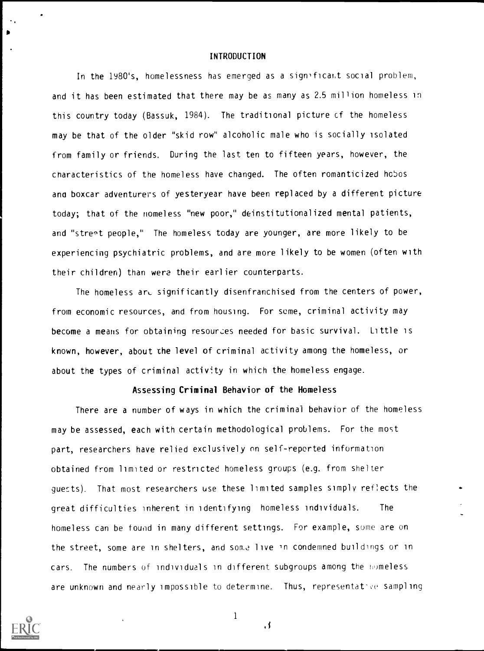### INTRODUCTION

In the 1980's, homelessness has emerged as a significant social problem, and it has been estimated that there may be as many as 2.5 million homeless in this country today (Bassuk, 1984). The traditional picture cf the homeless may be that of the older "skid row" alcoholic male who is socially isolated from family or friends. During the last ten to fifteen years, however, the characteristics of the homeless have changed. The often romanticized hobos ana boxcar adventurers of yesteryear have been replaced by a different picture today; that of the nomeless "new poor," deinstitutionalized mental patients, and "street people," The homeless today are younger, are more likely to be experiencing psychiatric problems, and are more likely to be women (often with their children) than were their earlier counterparts.

The homeless are significantly disenfranchised from the centers of power, from economic resources, and from housing. For some, criminal activity may become a means for obtaining resources needed for basic survival. Little is known, however, about the level of criminal activity among the homeless, or about the types of criminal activity in which the homeless engage.

## Assessing Criminal Behavior of the Homeless

There are a number of ways in which the criminal behavior of the homeless may be assessed, each with certain methodological problems. For the most part, researchers have relied exclusively on self-reported information obtained from limited or restricted homeless groups (e.g. from shelter guests). That most researchers use these limited samples simply reflects the great difficulties inherent in identifying homeless individuals. The homeless can be found in many different settings. For example, some are on the street, some are in shelters, and some live in condemned buildings or in cars. The numbers of individuals in different subgroups among the homeless are unknown and nearly impossible to determine. Thus, representative sampling



 $\blacksquare$ 

1

if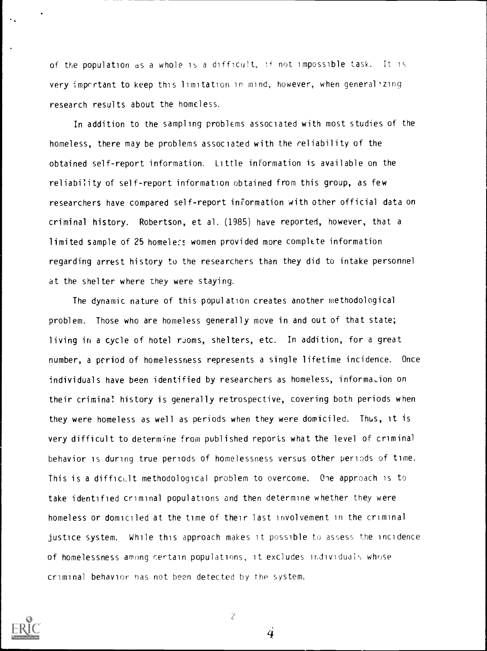of the population as a whole is a difficult, lf not impossible task. It is very imprrtant to keep this limitation in mind, however, when general'zing research results about the homeless.

In addition to the sampling problems associated with most studies of the homeless, there may be problems associated with the reliability of the obtained self-report information. Little information is available on the reliability of self-report information obtained from this group, as few researchers have compared self-report information with other official data on criminal history. Robertson, et al. (1985) have reported, however, that a limited sample of 25 homeless women provided more complete information regarding arrest history to the researchers than they did to intake personnel at the shelter where they were staying.

The dynamic nature of this population creates another methodological problem. Those who are homeless generally move in and out of that state; living in a cycle of hotel rJoms, shelters, etc. In addition, for a great number, a period of homelessness represents a single lifetime incidence. Once individuals have been identified by researchers as homeless, information on their criminal history is generally retrospective, covering both periods when they were homeless as well as periods when they were domiciled. Thus, it is very difficult to determine from published reports what the level of criminal behavior is during true periods of homelessness versus other periods of time. This is a difficult methodological problem to overcome. One approach is to take identified criminal populations and then determine whether they were homeless or domiciled at the time of their last involvement in the criminal justice system. While this approach makes it possible to assess the incidence of homelessness among certain populations, it excludes individual,, whose criminal behavior nas not been detected by the system.



 $\overline{c}$ 

 $\overline{\mathbf{4}}$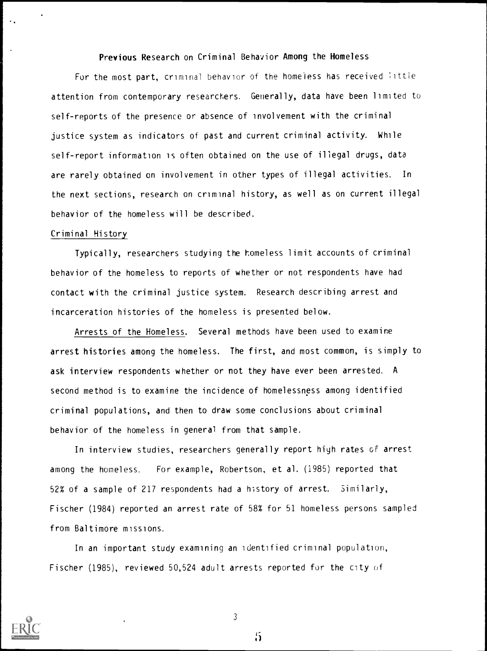# Previous Research on Criminal Behavior Among the Homeless

For the most part, criminal behavior of the homeless has received little attention from contemporary researchers. Generally, data have been limited to self-reports of the presence or absence of involvement with the criminal justice system as indicators of past and current criminal activity. While self-report information is often obtained on the use of illegal drugs, data are rarely obtained on involvement in other types of illegal activities. In the next sections, research on criminal history, as well as on current illegal behavior of the homeless will be described.

## Criminal History

Typically, researchers studying the homeless limit accounts of criminal behavior of the homeless to reports of whether or not respondents have had contact with the criminal justice system. Research describing arrest and incarceration histories of the homeless is presented below.

Arrests of the Homeless. Several methods have been used to examine arrest histories among the homeless. The first, and most common, is simply to ask interview respondents whether or not they have ever been arrested. A second method is to examine the incidence of homelessness among identified criminal populations, and then to draw some conclusions about criminal behavior of the homeless in general from that sample.

In interview studies, researchers generally report high rates of arrest among the homeless. For example, Robertson, et al. (1985) reported that 52% of a sample of 217 respondents had a history of arrest. Similarly, Fischer (1984) reported an arrest rate of 58% for 51 homeless persons sampled from Baltimore missions.

In an important study examining an identified criminal population, Fischer (1985), reviewed 50,524 adult arrests reported for the city of



3

 $\ddot{5}$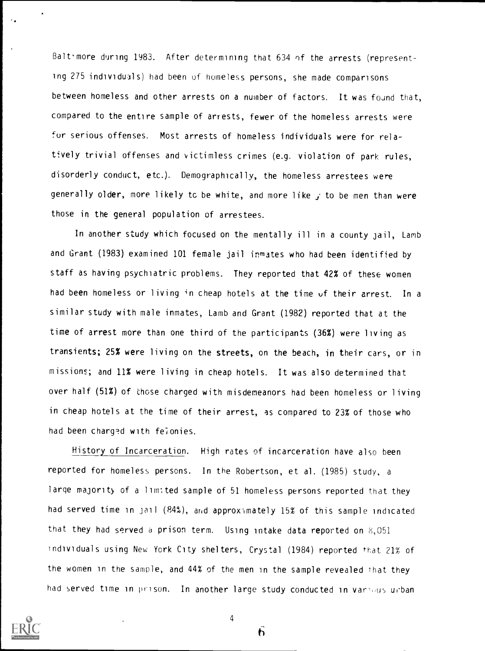Balt-more during 1983. After determining that 634 of the arrests (representing 275 individuals) had been of homeless persons, she made comparisons between homeless and other arrests on a number of factors. It was found that, compared to the entire sample of arrests, fewer of the homeless arrests were for serious offenses. Most arrests of homeless individuals were for relatively trivial offenses and victimless crimes (e.g. violation of park rules, disorderly conduct, etc.). Demographically, the homeless arrestees were generally older, more likely to be white, and more like  $j$  to be men than were those in the general population of arrestees.

In another study which focused on the mentally ill in a county jail, Lamb and Grant (1983) examined 101 female jail inmates who had been identified by staff as having psychiatric problems. They reported that 42% of these women had been homeless or living in cheap hotels at the time of their arrest. In a similar study with male inmates, Lamb and Grant (1982) reported that at the time of arrest more than one third of the participants (36%) were living as transients; 25% were living on the streets, on the beach, in their cars, or in missions; and 11% were living in cheap hotels. It was also determined that over half (51%) of those charged with misdemeanors had been homeless or living in cheap hotels at the time of their arrest, as compared to 23% of those who had been charged with felonies.

History of Incarceration. High rates of incarceration have also been reported for homeless persons. In the Robertson, et al. (1985) study, <sup>a</sup> large majority of a lim: ted sample of 51 homeless persons reported that they had served time in jail (84%), and approximately 15% of this sample indicated that they had served a prison term. Using intake data reported on  $8,051$ individuals using New Ycrk City shelters, Crystal (1984) reported that 21% of the women in the sample, and 44% of the men in the sample revealed that they had served time in prison. In another large study conducted in various urban



4

 $\mathbf b$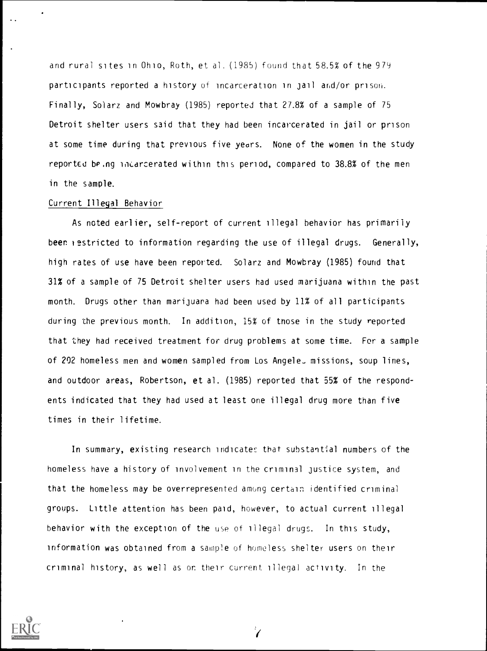and rural sites in Ohio, Roth, et al. (1985) found that 58.5% of the 979 participants reported a history of incarceration in jail and /or prison. Finally, Solarz and Mowbray (1985) reported that 27.8% of a sample of 75 Detroit shelter users said that they had been incarcerated in jail or prison at some time during that previous five years. None of the women in the study reported being incarcerated within this period, compared to 38.8% of the men in the sample.

## Current Illegal Behavior

As noted earlier, self-report of current illegal behavior has primarily been restricted to information regarding the use of illegal drugs. Generally, high rates of use have been reported. Solarz and Mowbray (1985) found that 31% of a sample of 75 Detroit shelter users had used marijuana within the past month. Drugs other than marijuara had been used by 11% of all participants during the previous month. In addition, 15% of tnose in the study reported that they had received treatment for drug problems at some time. For a sample of 202 homeless men and women sampled from Los Angele\_ missions, soup lines, and outdoor areas, Robertson, et al. (1985) reported that 55% of the respondents indicated that they had used at least one illegal drug more than five times in their lifetime.

In summary, existing research indicates that substantial numbers of the homeless have a history of involvement in the criminal justice system, and that the homeless may be overrepresented among certain, identified criminal groups. Little attention has been paid, however, to actual current illegal behavior with the exception of the use of illegal drugs. In this study, information was obtained from a sample of homeless shelter users on their criminal history, as well as or their current illegal activity. In the



 $\mathbf{Z}^{\prime}$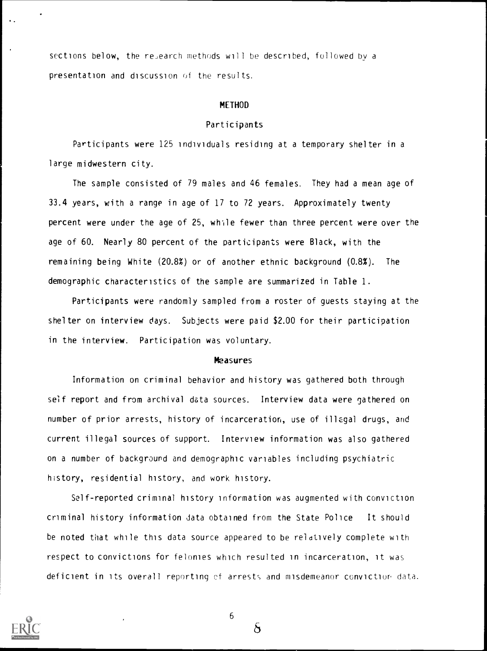sections below, the research methods will be described, followed by a presentation and discussion of the results.

#### METHOD

### Participants

Participants were 125 individuals residing at a temporary shelter in a large midwestern city.

The sample consisted of 79 males and 46 females. They had a mean age of 33.4 years, with a range in age of 17 to 72 years. Approximately twenty percent were under the age of 25, while fewer than three percent were over the age of 60. Nearly 80 percent of the participants were Black, with the remaining being White (20.8%) or of another ethnic background (0.8%). The demographic characteristics of the sample are summarized in Table 1.

Participants were randomly sampled from a roster of guests staying at the shelter on interview days. Subjects were paid \$2.00 for their participation in the interview. Participation was voluntary.

#### **Measures**

Information on criminal behavior and history was gathered both through self report and from archival data sources. Interview data were gathered on number of prior arrests, history of incarceration, use of illegal drugs, and current illegal sources of support. Interview information was also gathered on a number of background and demographic variables including psychiatric history, residential history, and work history.

Self-reported criminal history information was augmented with conviction criminal history information data obtained from the State Police It should be noted that while this data source appeared to be relatively complete with respect to convictions for felonies which resulted in incarceration, it was deficient in its overall reporting of arrests and misdemeanor conviction data.



6

 $\delta$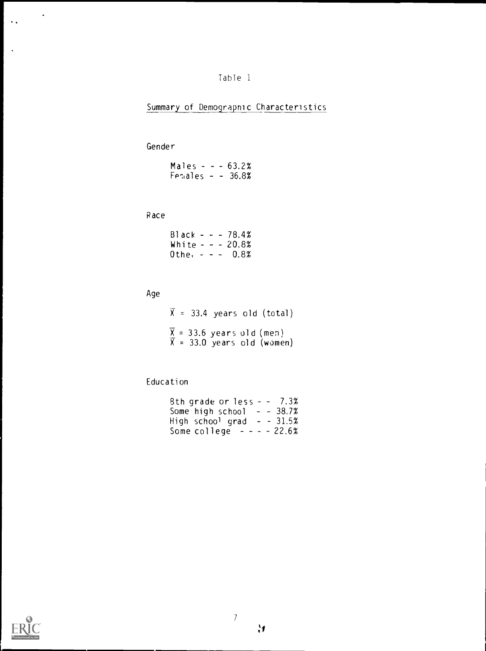# Table <sup>1</sup>

# Summary of Demographic Characteristics

# Gender

| Males - - - $63.2\%$ |  |  |
|----------------------|--|--|
| $Fermales - - 36.8%$ |  |  |

# Race

| Black - - - 78.4%   |  |  |  |  |
|---------------------|--|--|--|--|
| White $- - 20.8\%$  |  |  |  |  |
| Othe, $- - - 0.8\%$ |  |  |  |  |

# Age

 $\bar{X}$  = 33.4 years old (total)  $\overline{X}$  = 33.6 years old (men)  $\bar{X}$  = 33.0 years old (women)

# Education

| 8th grade or $less - -7.3\%$ |  |  |
|------------------------------|--|--|
| Some high school $ -$ 38.7%  |  |  |
| High school grad – – 31.5%   |  |  |
| Some college $- - - 22.6%$   |  |  |



 $\bullet$ 

 $\ddot{\phantom{a}}$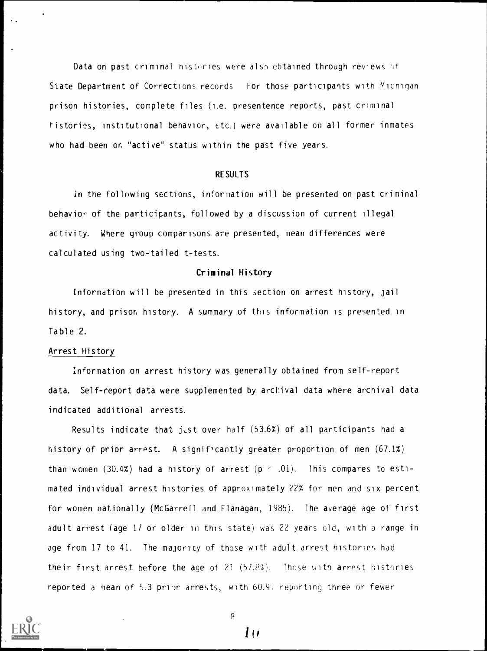Data on past criminal histories were also obtained through reviews of State Department of Corrections records For those participants with Micnigan prison histories, complete files (i.e. presentence reports, past criminal istories, institutional behavior, Etc.) were available on all former inmates who had been on "active" status within the past five years.

#### RESULTS

in the following sections, information will be presented on past criminal behavior of the participants, followed by a discussion of current illegal activity. Where group comparisons are presented, mean differences were calculated using two-tailed t-tests.

### Criminal History

Information will be presented in this section on arrest history, jail history, and prison history. A summary of this information is presented in Table 2.

#### Arrest History

Information on arrest history was generally obtained from self-report data. Self-report data were supplemented by archival data where archival data indicated additional arrests.

Results indicate that just over half  $(53.6%)$  of all participants had a history of prior arrest. A significantly greater proportion of men (67.1%) than women (30.4%) had a history of arrest  $(p < .01)$ . This compares to estimated individual arrest histories of approximately 22% for men and six percent for women nationally (McGarrell and Flanagan, 1985). The average age of first adult arrest (age 1/ or older in this state) was 22 years old, with a range in age from 17 to 41. The majority of those with adult arrest histories had their first arrest before the age of 21 (57.8%). Those uith arrest histories reported a mean of 5.3 prior arrests, with 60.9', reporting three or fewer



8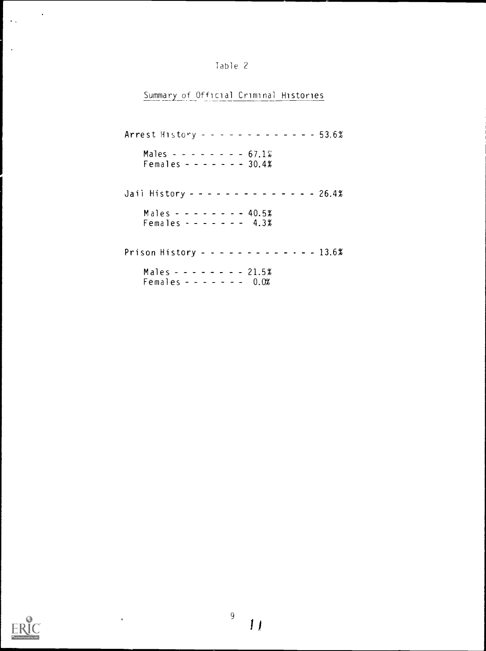| Table 2 |  |
|---------|--|
|---------|--|

Summary of Official Criminal Histories

| Arrest History - - - - - - - - - - - - 53.6%                |  |
|-------------------------------------------------------------|--|
| Males $- - - - - - - 67.1\%$<br>Females - - - - - - - 30.4% |  |
| Jaii History - - - - - - - - - - - - - 26.4%                |  |
| Males - - - - - - - - 40.5%<br>Females - - - - - - - 4.3%   |  |
| Prison History - - - - - - - - - - - - - 13.6%              |  |
| Males - - - - - - - - 21.5%<br>Females - - - - - - - 0.0%   |  |



 $\ddot{\phantom{0}}$ 

 $\mathcal{L}^{\text{max}}$ 

 $\mathcal{L}_{\mathcal{A}}$ 

 $\ddot{\phantom{a}}$ 

 $\bar{1}$ 

 $\overline{9}$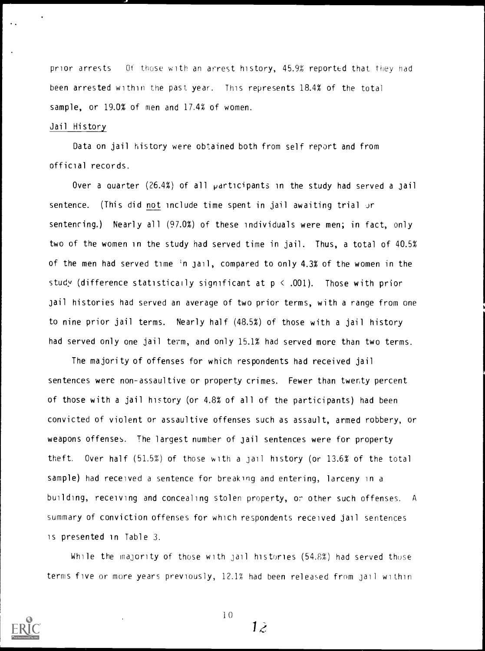prior arrests Of those with an arrest history, 45.9% reported that they had been arrested within the past year. This represents 18.4% of the total sample, or 19.0% of men and 17.4% of women.

## Jail History

Data on jail history were obtained both from self report and from official records.

Over a quarter  $(26.4\%)$  of all  $participants$  in the study had served a jail sentence. (This did not include time spent in jail awaiting trial or sentencing.) Nearly all (97.0%) of these individuals were men; in fact, only two of the women in the study had served time in jail. Thus, a total of 40.5% of the men had served time 'n jail, compared to only 4.3% of the women in the study (difference statistically significant at  $p \le .001$ ). Those with prior jail histories had served an average of two prior terms, with a range from one to nine prior jail terms. Nearly half (48.5%) of those with a jail history had served only one jail term, and only 15.1% had served more than two terms.

The majority of offenses for which respondents had received jail sentences were non-assaultive or property crimes. Fewer than twenty percent of those with a jail history (or 4.8% of all of the participants) had been convicted of violent or assaultive offenses such as assault, armed robbery, or weapons offenses. The largest number of jail sentences were for property theft. Over half (51.5%) of those with a jail history (or 13.6% of the total sample) had received a sentence for breaking and entering, larceny in a building, receiving and concealing stolen property, or other such offenses. A summary of conviction offenses for which respondents received jail sentences is presented in Table 3.

While the majority of those with jail histories (54.8%) had served those terms five or more years previously, 12.1% had been released from jail within



10

 $1\tilde{c}$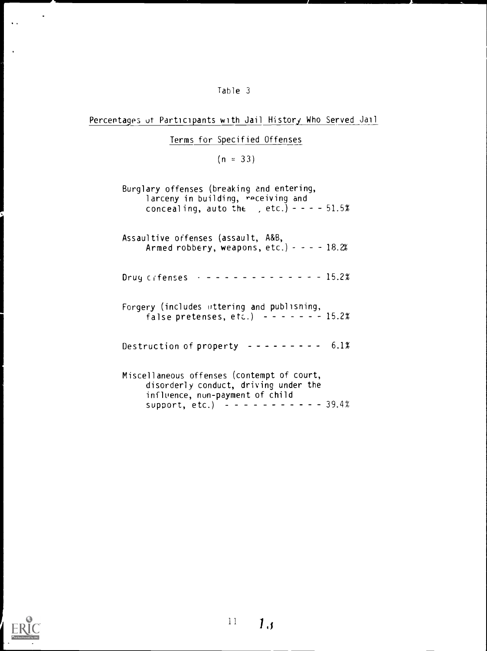# Table 3

# Percentages of Participants with Jail History Who Served Jail

# Terms for Specified Offenses

# $(n = 33)$

| Burglary offenses (breaking and entering,<br>larceny in building, receiving and<br>concealing, auto the , etc.) - - - - 51.5% |
|-------------------------------------------------------------------------------------------------------------------------------|
| Assaultive offenses (assault, A&B,<br>Armed robbery, weapons, etc.) - - - - 18.2%                                             |
| Drug crfenses $- - - - - - - - - - - - - - - 15.2%$                                                                           |
| Forgery (includes uttering and publishing,<br>false pretenses, etc.) $- - - - - 15.2\%$                                       |
| Destruction of property $- - - - - - - - - 6.1\%$                                                                             |
| Miscellaneous offenses (contempt of court,<br>disorderly conduct, driving under the<br>influence, non-payment of child        |



 $\langle \rangle$ 

 $\ddot{\phantom{a}}$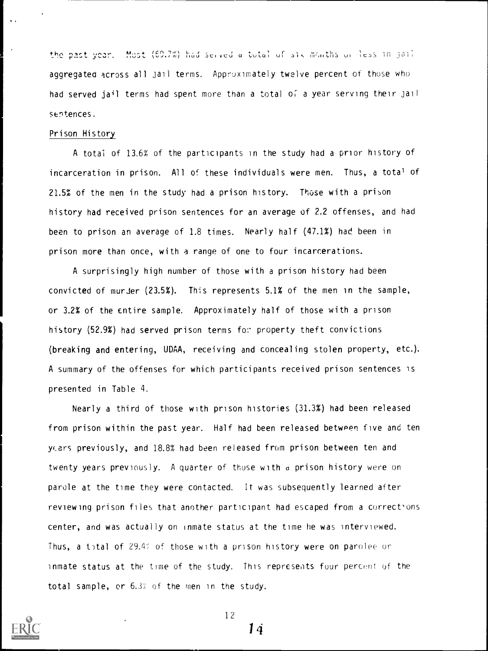the past year. Most (69.7%) had served a total of six months or less in joil aggregated across all jail terms. Approximately twelve percent of those who had served jail terms had spent more than a total of a year serving their Jail sentences.

### Prison History

A total of 13.6% of the participants in the study had a prior history of incarceration in prison. All of these individuals were men. Thus, a total of 21.5% of the men in the study had a prison history. Those with a prison history had received prison sentences for an average of 2.2 offenses, and had been to prison an average of 1.8 times. Nearly half (47.1%) had been in prison more than once, with a range of one to four incarcerations.

A surprisingly high number of those with a prison history had been convicted of murJer (23.5%). This represents 5.1% of the men in the sample, or 3.2% of the entire sample. Approximately half of those with a prison history  $(52.9%)$  had served prison terms for property theft convictions (breaking and entering, UDAA, receiving and concealing stolen property, etc.). A summary of the offenses for which participants received prison sentences is presented in Table 4.

Nearly a third of those with prison histories (31.3%) had been released from prison within the past year. Half had been released between five and ten years previously, and 18.8% had been released from prison between ten and twenty years previously. A quarter of those with d prison history were on parole at the time they were contacted. It was subsequently learned after reviewing prison files that another participant had escaped from a corrections center, and was actually on inmate status at the time he was interviewed. Thus, a total of  $29.4$ % of those with a prison history were on parolee or inmate status at the time of the study. This represents four percent of the total sample, or 6.3% of the men in the study.



12

1 d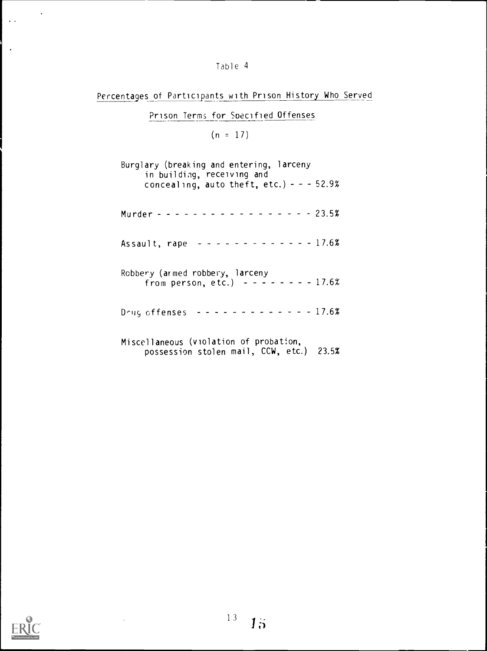# Table 4

Percentages of Participants with Prison History Who Served

# Prison Terms for Soecified Offenses

 $(n = 17)$ 

| Burglary (breaking and entering, larceny<br>in building, receiving and<br>concealing, auto theft, etc.) - - - 52.9% |
|---------------------------------------------------------------------------------------------------------------------|
| Murder - - - - - - - - - - - - - - - - 23.5%                                                                        |
| Assault, rape $- - - - - - - - - - - - - 17.6%$                                                                     |
| Robbery (armed robbery, larceny<br>from person, etc.) $- - - - - 17.62$                                             |
| Drug offenses ------------- 17.6%                                                                                   |
| Miscellaneous (violation of probation,<br>possession stolen mail, CCW, etc.) 23.5%                                  |



 $\langle \cdot \rangle$ 

 $\sim$   $\sim$ 

 $\bar{\phantom{a}}$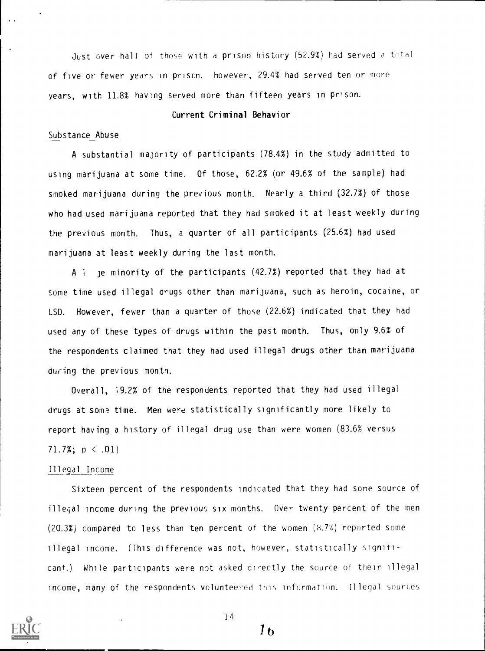Just over half of those with a prison history (52.9%) had served a total of five or fewer years in prison. however, 29.4% had served ten or more years, with 11.8% having served more than fifteen years in prison.

### Current Criminal Behavior

## Substance Abuse

A substantial majority of participants (78.4%) in the study admitted to using marijuana at some time. Of those, 62.2% (or 49.6% of the sample) had smoked marijuana during the previous month. Nearly a third (32.7%) of those who had used marijuana reported that they had smoked it at least weekly during the previous month. Thus, a quarter of all participants (25.6%) had used marijuana at least weekly during the last month.

A <sup>1</sup> je minority of the participants (42.7%) reported that they had at some time used illegal drugs other than marijuana, such as heroin, cocaine, or LSD. However, fewer than a quarter of those (22.6%) indicated that they had used any of these types of drugs within the past month. Thus, only 9.6% of the respondents claimed that they had used illegal drugs other than marijuana during the previous month.

Overall, ;9.2% of the respondents reported that they had used illegal drugs at some time. Men were statistically significantly more likely to report having a history of illegal drug use than were women (83.6% versus 71.7%;  $p < .01$ )

#### Illegal Income

Sixteen percent of the respondents indicated that they had some source of illegal income during the previous six months. Over twenty percent of the men (20.3%) compared to less than ten percent of the women (8.7%) reported some illegal income. (This difference was not, however, statistically significant,) While participants were not asked directly the source of their illegal income, many of the respondents volunteered this information. Illegal sources



14

 $1<sub>b</sub>$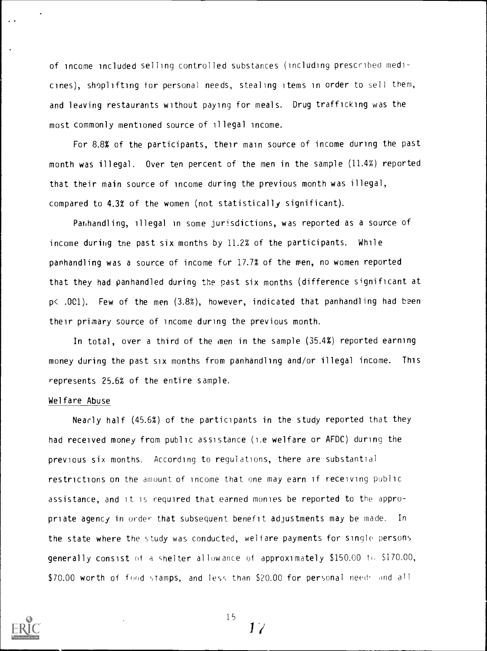of income included selling controlled substances (including prescribed medicines), shoplifting for personal needs, stealing items in order to sell them, and leaving restaurants without paying for meals. Drug trafficking was the most commonly mentioned source of illegal income.

For 8.8% of the participants, their main source of income during the past month was illegal. Over ten percent of the men in the sample (11.4%) reported that their main source of income during the previous month was illegal, compared to 4.3% of the women (not statistically significant).

Panhandling, illegal in some jurisdictions, was reported as a source of income during the past six months by  $11.2\%$  of the participants. While panhandling was a source of income for  $17.7%$  of the men, no women reported that they had panhandled during the past six months (difference significant at p< .001). Few of the men (3.8%), however, indicated that panhandling had been their primary source of income during the previous month.

In total, over a third of the men in the sample (35.4%) reported earning money during the past six months from panhandling and/or illegal income. This represents 25.6% of the entire sample.

#### Welfare Abuse

Nearly half (45.6%) of the participants in the study reported that they had received money from public assistance (1.e welfare or AFDC) during the previous six months. According to regulations, there are substantial restrictions on the amount of income that one may earn if receiving public assistance, and it is required that earned monies be reported to the appropriate agency in order that subsequent benefit adjustments may be made. In the state where the study was conducted, welfare payments for single persons **generally consist** of a shelter allowance of approximately  $$150.00$  to  $$170.00$ , \$70.00 worth of food stamps, and less than \$20.00 for personal needs and all



 $17$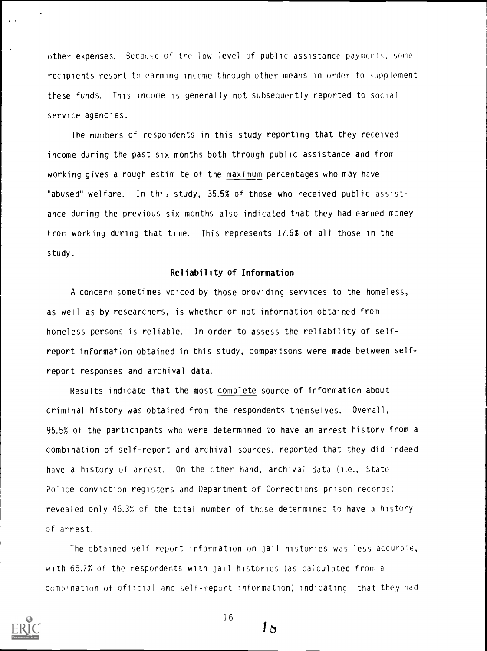other expenses. Because of the low level of public assistance payments. some recipients resort to earning income through other means in order to supplement these funds. This income is generally not subsequently reported to social service agencies.

The numbers of respondents in this study reporting that they received income during the past six months both through public assistance and from working gives a rough estim te of the maximum percentages who may have "abused" welfare. In th', study, 35.5% of those who received public assistance during the previous six months also indicated that they had earned money from working during that time. This represents 17.6% of all those in the study.

## Reliability of Information

A concern sometimes voiced by those providing services to the homeless, as well as by researchers, is whether or not information obtained from homeless persons is reliable. In order to assess the reliability of selfreport information obtained in this study, comparisons were made between selfreport responses and archival data.

Results indicate that the most complete source of information about criminal history was obtained from the respondents themselves. Overall, 95.5% of the participants who were determined to have an arrest history from a combination of self-report and archival sources, reported that they did indeed have a history of arrest. On the other hand, archival data (i.e., State Police conviction registers and Department of Corrections prison records) revealed only 46.3% of the total number of those determined to have a history of arrest.

The obtained self-report information on jail histories was less accurate, with 66.7% of the respondents with jail histories (as calculated from a combination of official and self-report information) indicating that they had



16

 $1\, \sigma$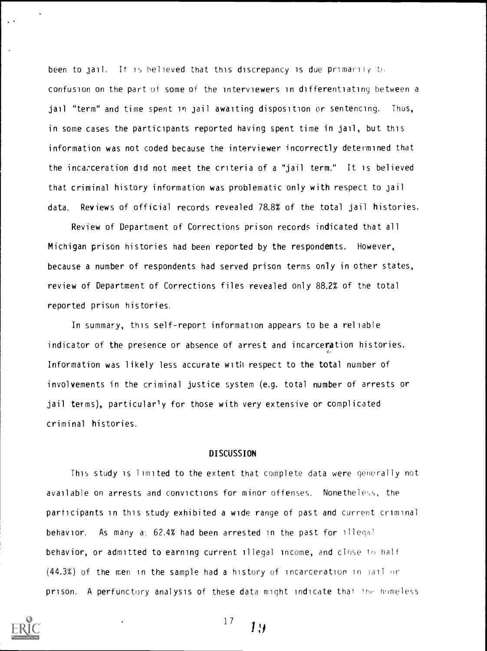been to jail. It is believed that this discrepancy is due primarily to confusion on the part of some of the interviewers in differentiating between a jail "term" and time spent in jail awaiting disposition or sentencing. Thus, in some cases the participants reported having spent time in jail, but this information was not coded because the interviewer incorrectly determined that the incarceration did not meet the criteria of a "jail term." It is believed that criminal history information was problematic only with respect to jail data. Reviews of official records revealed 78.8% of the total jail histories.

Review of Department of Corrections prison records indicated that all Michigan prison histories had been reported by the respondents. However, because a number of respondents had served prison terms only in other states, review of Department of Corrections files revealed only 88.2% of the total reported prison histories.

In summary, this self-report information appears to be a reliable indicator of the presence or absence of arrest and incarceration histories. Information was likely less accurate with respect to the total number of involvements in the criminal justice system (e.g. total number of arrests or jail terms), particularly for those with very extensive or complicated criminal histories.

## **DISCUSSION**

This study is limited to the extent that complete data were generally not available on arrests and convictions for minor offenses. Nonetheless, the participants in this study exhibited a wide range of past and current criminal behavior. As many a: 62.4% had been arrested in the past for illegal behavior, or admitted to earning current illegal income, and close to half  $(44.3%)$  of the men in the sample had a history of incarceration in fail or prison. A perfunctory analysis of these data might indicate that the homeless

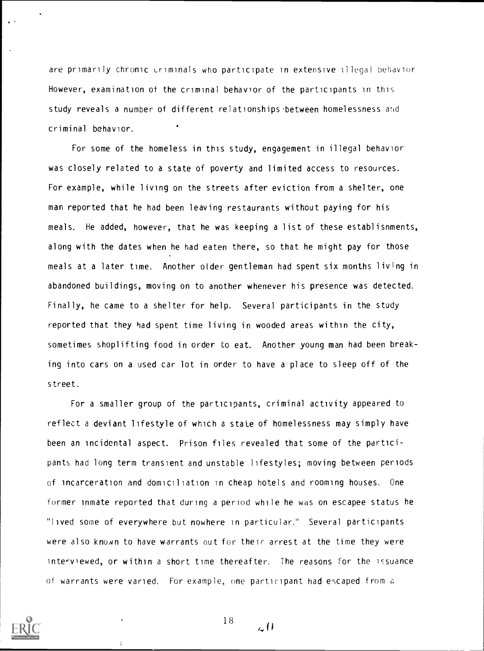are primarily chronic criminals who participate in extensive illegal behavior However, examination of the criminal behavior of the participants in this study reveals a number of different relationships between homelessness and criminal behavior. .

For some of the homeless in this study, engagement in illegal behavior was closely related to a state of poverty and limited access to resources. For example, while living on the streets after eviction from a shelter, one man reported that he had been leaving restaurants without paying for his meals. He added, however, that he was keeping a list of these establisnments, along with the dates when he had eaten there, so that he might pay for those meals at a later time. Another older gentleman had spent six months living in abandoned buildings, moving on to another whenever his presence was detected. Finally, he came to a shelter for help. Several participants in the study reported that they had spent time living in wooded areas within the city, sometimes shoplifting food in order to eat. Another young man had been breaking into cars on a used car lot in order to have a place to sleep off of the street.

For a smaller group of the participants, criminal activity appeared to reflect a deviant lifestyle of which a state of homelessness may simply have been an incidental aspect. Prison files revealed that some of the participants had long term transient and unstable lifestyles; moving between periods of incarceration and domiciliation in cheap hotels and rooming houses. One former inmate reported that during a period while he was on escapee status he "lived some of everywhere but nowhere in particular." Several participants were also known to have warrants out for their arrest at the time they were interviewed, or within a short time thereafter. The reasons for the issuance of warrants were varied. For example, one participant had escaped from a



÷

18

 $\mathcal{L}^{(l)}$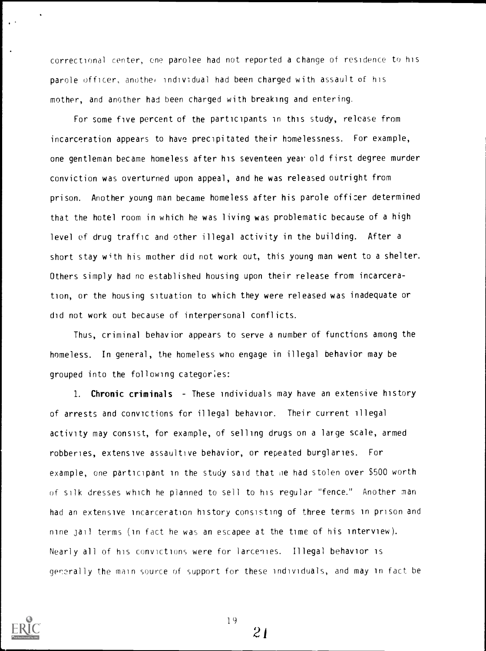correctional center, one parolee had not reported a change of residence to his parole officer, another individual had been charged with assault of his mother, and another had been charged with breaking and entering.

For some five percent of the participants in this study, release from incarceration appears to have precipitated their homelessness. For example, one gentleman became homeless after his seventeen year old first degree murder conviction was overturned upon appeal, and he was released outright from prison. Another young man became homeless after his parole officer determined that the hotel room in which he was living was problematic because of a high level of drug traffic and other illegal activity in the building. After a short stay with his mother did not work out, this young man went to a shelter. Others simply had no established housing upon their release from incarceration, or the housing situation to which they were released was inadequate or did not work out because of interpersonal conflicts.

Thus, criminal behavior appears to serve a number of functions among the homeless. In general, the homeless wno engage in illegal behavior may be grouped into the following categor;es:

1. Chronic criminals - These individuals may have an extensive history of arrests and convictions for illegal behavior. Their current illegal activity may consist, for example, of selling drugs on a large scale, armed robberies, extensive assaultive behavior, or repeated burglaries. For example, one participant in the study said that he had stolen over \$500 worth of silk dresses which he planned to sell to his regular "fence." Another man had an extensive incarceration history consisting of three terms in prison and nine jail terms (in fact he was an escapee at the time of his interview). Nearly all of his convictions were for larcenies. Illegal behavior is generally the main source of support for these individuals, and may in fact be



19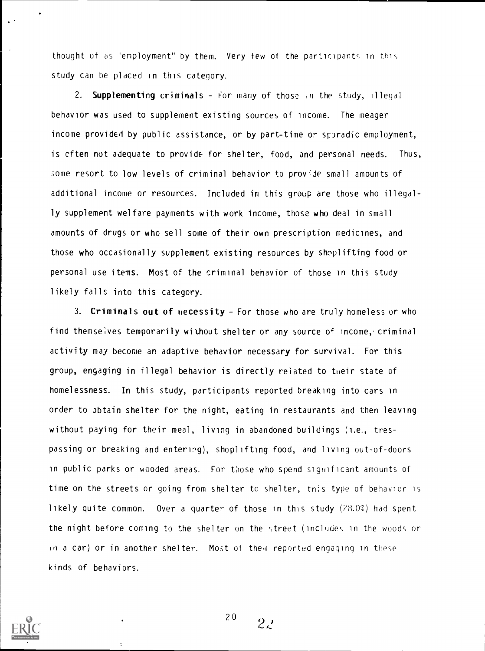thought of as "employment" by them. Very tew of the participants in this study can be placed in this category.

2. Supplementing criminals - For many of those in the study, illegal behavior was used to supplement existing sources of income. The meager income provided by public assistance, or by part-time or spradic employment, is cften not adequate to provide for shelter, food, and personal needs. Thus, some resort to low levels of criminal behavior to provide small amounts of additional income or resources. Included in this group are those who illegally supplement welfare payments with work income, those who deal in small amounts of drugs or who sell some of their own prescription medicines, and those who occasionally supplement existing resources by shoplifting food or personal use items. Most of the criminal behavior of those in this study likely falls into this category.

3. Criminals out of necessity  $-$  For those who are truly homeless or who find themselves temporarily without shelter or any source of income, criminal activity may become an adaptive behavior necessary for survival. For this group, engaging in illegal behavior is directly related to their state of homelessness. In this study, participants reported breaking into cars in order to obtain shelter for the night, eating in restaurants and then leaving without paying for their meal, living in abandoned buildings (i.e., trespassing or breaking and entering), shoplifting food, and living out-of-doors in public parks or wooded areas. For those who spend significant amounts of time on the streets or going from shelter to shelter, tris type of behavior is likely quite common. Over a quarter of those in this study  $(28.0%)$  had spent the night before coming to the shelter on the >treet (includes in the woods or in a car) or in another shelter. Most of them reported engaging in these kinds of behaviors.



20

 $2\nu$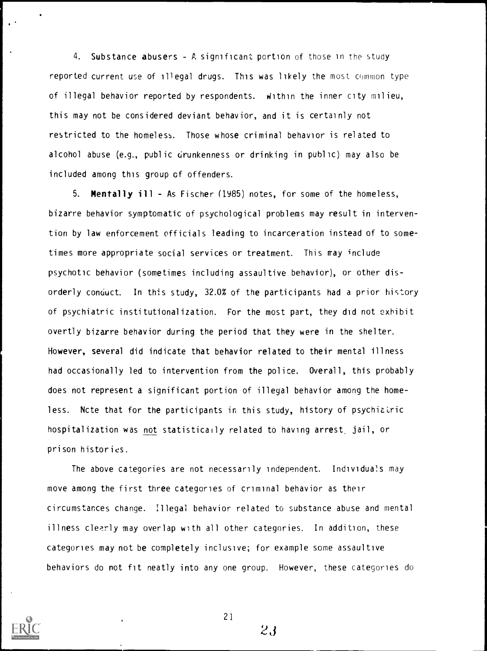4. Substance abusers - A significant portion of those in the study reported current use of illegal drugs. This was likely the most common type of illegal behavior reported by respondents. Within the inner city milieu, this may not be considered deviant behavior, and it is certainly not restricted to the homeless. Those whose criminal behavior is related to alcohol abuse (e.g., public drunkenness or drinking in public) may also be included among this group of offenders.

5. Mentally ill - As Fischer (1985) notes, for some of the homeless, bizarre behavior symptomatic of psychological problems may result in intervention by law enforcement officials leading to incarceration instead of to sometimes more appropriate social services or treatment. This may include psychotic behavior (sometimes including assaultive behavior), or other disorderly conduct. In this study, 32.0% of the participants had a prior history of psychiatric institutionalization. For the most part, they did not exhibit overtly bizarre behavior during the period that they were in the shelter. However, several did indicate that behavior related to their mental illness had occasionally led to intervention from the police. Overall, this probably does not represent a significant portion of illegal behavior among the homeless. Note that for the participants in this study, history of psychialric hospitalization was not statistically related to having arrest, jail, or prison histories.

The above categories are not necessarily independent. Individuals may move among the first three categories of criminal behavior as their circumstances change. Illegal behavior related to substance abuse and mental illness clearly may overlap with all other categories. In addition, these categories may not be completely inclusive; for example some assaultive behaviors do not fit neatly into any one group. However, <sup>t</sup> hese categories do



21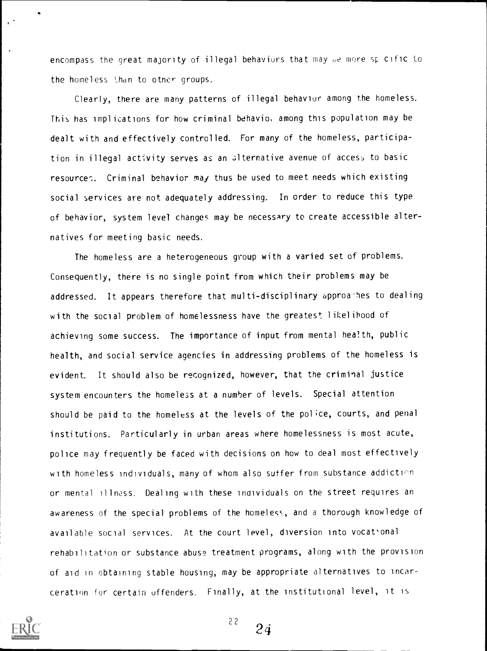encompass the great majority of illegal behaviors that may be more sp cific to the homeless than to other groups.

Clearly, there are many patterns of illegal behavior among the homeless. This has implications for how criminal behavio, among this population may be dealt with and effectively controlled. For many of the homeless, participation in illegal activity serves as an alternative avenue of access to basic resource. Criminal behavior may thus be used to meet needs which existing social services are not adequately addressing. In order to reduce this type of behavior, system level changes may be necessary to create accessible alternatives for meeting basic needs.

The homeless are a heterogeneous group with a varied set of problems. Consequently, there is no single point from which their problems may be addressed. It appears therefore that multi-disciplinary approa-hes to dealing with the social problem of homelessness have the greatest likelihood of achieving some success. The importance of input from mental health, public health, and social service agencies in addressing problems of the homeless is evident. It should also be recognized, however, that the criminal justice system encounters the homeless at a numher of levels. Special attention should be paid to the homeless at the levels of the police, courts, and penal institutions. Particularly in urban areas where homelessness is most acute, police may frequently be faced with decisions on how to deal most effectively with homeless individuals, many of whom also suffer from substance addiction or mental illness. Dealing with these individuals on the street requires an awareness of the special problems of the homeless, and a thorough knowledge of available social services. At the court level, diversion into vocat'onal rehabilitation or substance abuse treatment programs, along with the provision of aid in obtaining stable housing, may be appropriate alternatives to incarceration for certain offenders. Finally, at the institutional level, it is



 $22$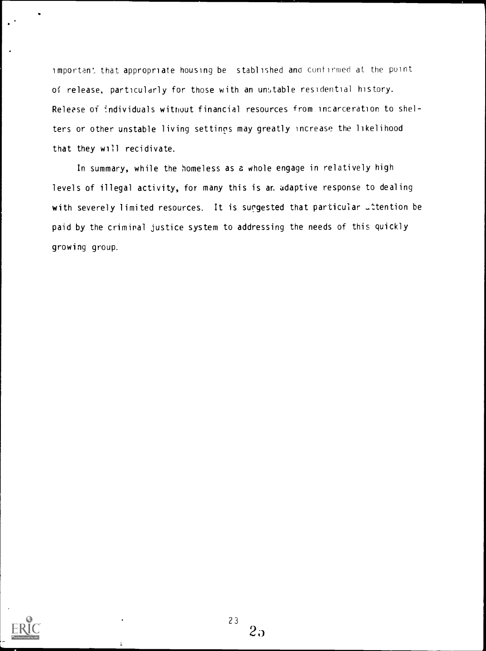important that appropriate housing be stablished and confirmed at the point of release, particularly for those with an unstable residential history. Release of individuals without financial resources from incarceration to shelters or other unstable living settings may greatly increase the likelihood that they will recidivate.

In summary, while the homeless as a whole engage in relatively high levels of illegal activity, for many this is an adaptive response to dealing with severely limited resources. It is suggested that particular uttention be paid by the criminal justice system to addressing the needs of this quickly growing group.